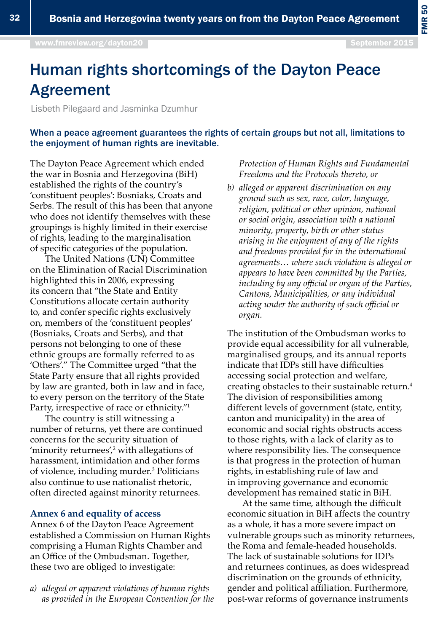FMR 50

# Human rights shortcomings of the Dayton Peace Agreement

Lisbeth Pilegaard and Jasminka Dzumhur

### When a peace agreement guarantees the rights of certain groups but not all, limitations to the enjoyment of human rights are inevitable.

The Dayton Peace Agreement which ended the war in Bosnia and Herzegovina (BiH) established the rights of the country's 'constituent peoples': Bosniaks, Croats and Serbs. The result of this has been that anyone who does not identify themselves with these groupings is highly limited in their exercise of rights, leading to the marginalisation of specific categories of the population.

The United Nations (UN) Committee on the Elimination of Racial Discrimination highlighted this in 2006, expressing its concern that "the State and Entity Constitutions allocate certain authority to, and confer specific rights exclusively on, members of the 'constituent peoples' (Bosniaks, Croats and Serbs), and that persons not belonging to one of these ethnic groups are formally referred to as 'Others'." The Committee urged "that the State Party ensure that all rights provided by law are granted, both in law and in face, to every person on the territory of the State Party, irrespective of race or ethnicity."1

The country is still witnessing a number of returns, yet there are continued concerns for the security situation of 'minority returnees', $\frac{2}{3}$  with allegations of harassment, intimidation and other forms of violence, including murder.3 Politicians also continue to use nationalist rhetoric, often directed against minority returnees.

### **Annex 6 and equality of access**

Annex 6 of the Dayton Peace Agreement established a Commission on Human Rights comprising a Human Rights Chamber and an Office of the Ombudsman. Together, these two are obliged to investigate:

*a) alleged or apparent violations of human rights as provided in the European Convention for the*  *Protection of Human Rights and Fundamental Freedoms and the Protocols thereto, or* 

*b) alleged or apparent discrimination on any ground such as sex, race, color, language, religion, political or other opinion, national or social origin, association with a national minority, property, birth or other status arising in the enjoyment of any of the rights and freedoms provided for in the international agreements… where such violation is alleged or appears to have been committed by the Parties, including by any official or organ of the Parties, Cantons, Municipalities, or any individual acting under the authority of such official or organ.*

The institution of the Ombudsman works to provide equal accessibility for all vulnerable, marginalised groups, and its annual reports indicate that IDPs still have difficulties accessing social protection and welfare, creating obstacles to their sustainable return.<sup>4</sup> The division of responsibilities among different levels of government (state, entity, canton and municipality) in the area of economic and social rights obstructs access to those rights, with a lack of clarity as to where responsibility lies. The consequence is that progress in the protection of human rights, in establishing rule of law and in improving governance and economic development has remained static in BiH.

At the same time, although the difficult economic situation in BiH affects the country as a whole, it has a more severe impact on vulnerable groups such as minority returnees, the Roma and female-headed households. The lack of sustainable solutions for IDPs and returnees continues, as does widespread discrimination on the grounds of ethnicity, gender and political affiliation. Furthermore, post-war reforms of governance instruments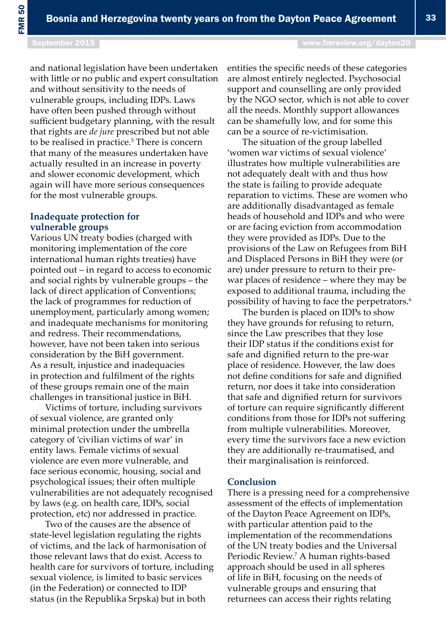September 2015 [www.fmreview.org/dayton20](http://www.fmreview.org/dayton20)

and national legislation have been undertaken with little or no public and expert consultation and without sensitivity to the needs of vulnerable groups, including IDPs. Laws have often been pushed through without sufficient budgetary planning, with the result that rights are *de jure* prescribed but not able to be realised in practice.<sup>5</sup> There is concern that many of the measures undertaken have actually resulted in an increase in poverty and slower economic development, which again will have more serious consequences for the most vulnerable groups.

#### **Inadequate protection for vulnerable groups**

Various UN treaty bodies (charged with monitoring implementation of the core international human rights treaties) have pointed out – in regard to access to economic and social rights by vulnerable groups – the lack of direct application of Conventions; the lack of programmes for reduction of unemployment, particularly among women; and inadequate mechanisms for monitoring and redress. Their recommendations, however, have not been taken into serious consideration by the BiH government. As a result, injustice and inadequacies in protection and fulfilment of the rights of these groups remain one of the main challenges in transitional justice in BiH.

Victims of torture, including survivors of sexual violence, are granted only minimal protection under the umbrella category of 'civilian victims of war' in entity laws. Female victims of sexual violence are even more vulnerable, and face serious economic, housing, social and psychological issues; their often multiple vulnerabilities are not adequately recognised by laws (e.g. on health care, IDPs, social protection, etc) nor addressed in practice.

Two of the causes are the absence of state-level legislation regulating the rights of victims, and the lack of harmonisation of those relevant laws that do exist. Access to health care for survivors of torture, including sexual violence, is limited to basic services (in the Federation) or connected to IDP status (in the Republika Srpska) but in both

entities the specific needs of these categories are almost entirely neglected. Psychosocial support and counselling are only provided by the NGO sector, which is not able to cover all the needs. Monthly support allowances can be shamefully low, and for some this can be a source of re-victimisation.

The situation of the group labelled 'women war victims of sexual violence' illustrates how multiple vulnerabilities are not adequately dealt with and thus how the state is failing to provide adequate reparation to victims. These are women who are additionally disadvantaged as female heads of household and IDPs and who were or are facing eviction from accommodation they were provided as IDPs. Due to the provisions of the Law on Refugees from BiH and Displaced Persons in BiH they were (or are) under pressure to return to their prewar places of residence – where they may be exposed to additional trauma, including the possibility of having to face the perpetrators.6

The burden is placed on IDPs to show they have grounds for refusing to return, since the Law prescribes that they lose their IDP status if the conditions exist for safe and dignified return to the pre-war place of residence. However, the law does not define conditions for safe and dignified return, nor does it take into consideration that safe and dignified return for survivors of torture can require significantly different conditions from those for IDPs not suffering from multiple vulnerabilities. Moreover, every time the survivors face a new eviction they are additionally re-traumatised, and their marginalisation is reinforced.

#### **Conclusion**

There is a pressing need for a comprehensive assessment of the effects of implementation of the Dayton Peace Agreement on IDPs, with particular attention paid to the implementation of the recommendations of the UN treaty bodies and the Universal Periodic Review.<sup>7</sup> A human rights-based approach should be used in all spheres of life in BiH, focusing on the needs of vulnerable groups and ensuring that returnees can access their rights relating